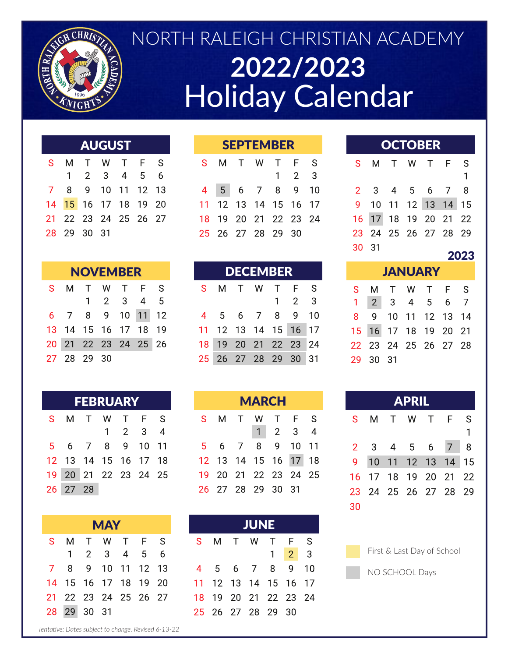

# NORTH RALEIGH CHRISTIAN ACADEMY **2022/2023 Holiday Calendar**

#### **AUGUST** M  $\top$ W  $\top$

S.  $S$ F  $\overline{2}$ 3 5 6  $\mathbf{1}$  $\overline{4}$  $\overline{9}$ 7 8 10 11 12 13 14 15 16 17 18 19 20 22 24 25 26 27 23 21 28 29 30 31

| <b>NOVEMBER</b> |             |  |  |                      |  |  |  |  |  |  |  |
|-----------------|-------------|--|--|----------------------|--|--|--|--|--|--|--|
| S.              |             |  |  | M T W T F S          |  |  |  |  |  |  |  |
|                 |             |  |  | $1 \t2 \t3 \t4 \t5$  |  |  |  |  |  |  |  |
|                 |             |  |  | 6 7 8 9 10 11 12     |  |  |  |  |  |  |  |
|                 |             |  |  | 13 14 15 16 17 18 19 |  |  |  |  |  |  |  |
|                 |             |  |  | 20 21 22 23 24 25 26 |  |  |  |  |  |  |  |
|                 | 27 28 29 30 |  |  |                      |  |  |  |  |  |  |  |

| <b>FEBRUARY</b> |                      |  |  |                 |  |  |  |  |  |  |  |
|-----------------|----------------------|--|--|-----------------|--|--|--|--|--|--|--|
| S.              |                      |  |  | M T W T F S     |  |  |  |  |  |  |  |
|                 |                      |  |  | $1 \t2 \t3 \t4$ |  |  |  |  |  |  |  |
|                 | 5 6 7 8 9 10 11      |  |  |                 |  |  |  |  |  |  |  |
|                 | 12 13 14 15 16 17 18 |  |  |                 |  |  |  |  |  |  |  |
|                 | 19 20 21 22 23 24 25 |  |  |                 |  |  |  |  |  |  |  |
|                 | 26 27 28             |  |  |                 |  |  |  |  |  |  |  |

| <b>MAY</b> |              |      |       |                   |      |    |  |  |  |  |  |
|------------|--------------|------|-------|-------------------|------|----|--|--|--|--|--|
| S          | м            |      | T W T |                   | $-F$ | ·S |  |  |  |  |  |
|            | $\mathbf{1}$ |      | 2 3 4 |                   | 5    | 6  |  |  |  |  |  |
|            | 8            |      |       | 9 10 11 12 13     |      |    |  |  |  |  |  |
| 14         |              |      |       | 15 16 17 18 19 20 |      |    |  |  |  |  |  |
| 21         |              |      |       | 22 23 24 25 26 27 |      |    |  |  |  |  |  |
| 28         | 29           | - 30 | - 31  |                   |      |    |  |  |  |  |  |

| <b>SEPTEMBER</b> |  |                      |  |  |                   |  |  |  |  |  |  |
|------------------|--|----------------------|--|--|-------------------|--|--|--|--|--|--|
|                  |  | S M T W T F S        |  |  |                   |  |  |  |  |  |  |
|                  |  |                      |  |  | $1\quad 2\quad 3$ |  |  |  |  |  |  |
|                  |  | 4 5 6 7 8 9 10       |  |  |                   |  |  |  |  |  |  |
|                  |  | 11 12 13 14 15 16 17 |  |  |                   |  |  |  |  |  |  |
|                  |  | 18 19 20 21 22 23 24 |  |  |                   |  |  |  |  |  |  |
|                  |  | 25 26 27 28 29 30    |  |  |                   |  |  |  |  |  |  |

| <b>NOVEMBER</b><br>1 T W T F S |  |                  | <b>DECEMBER</b> |                      |  |  |  | <b>SANUARY</b>       |  |  |  |          |                                     |  |
|--------------------------------|--|------------------|-----------------|----------------------|--|--|--|----------------------|--|--|--|----------|-------------------------------------|--|
|                                |  |                  |                 |                      |  |  |  | S M T W T F S        |  |  |  |          | S M T W T                           |  |
|                                |  | 1 2 3 4 5        |                 |                      |  |  |  | $1 \quad 2 \quad 3$  |  |  |  |          | $1 \quad 2 \quad 3 \quad 4 \quad 5$ |  |
|                                |  | 8 9 10 11 12     |                 |                      |  |  |  | 4 5 6 7 8 9 10       |  |  |  |          | 8 9 10 11 12                        |  |
|                                |  | 4 15 16 17 18 19 |                 |                      |  |  |  | 11 12 13 14 15 16 17 |  |  |  |          | 15 16 17 18 19                      |  |
|                                |  | 1 22 23 24 25 26 |                 |                      |  |  |  | 18 19 20 21 22 23 24 |  |  |  |          | 22 23 24 25 26                      |  |
| 8 29 30                        |  |                  |                 | 25 26 27 28 29 30 31 |  |  |  |                      |  |  |  | 29 30 31 |                                     |  |

|        | <b>FEBRUARY</b> |                             |  |                      |  | <b>MARCH</b>                |  |           | <b>APRIL</b>                |  |
|--------|-----------------|-----------------------------|--|----------------------|--|-----------------------------|--|-----------|-----------------------------|--|
|        |                 | T W T F S                   |  |                      |  | S M T W T F S               |  | S M T W T |                             |  |
|        |                 | $1 \quad 2 \quad 3 \quad 4$ |  |                      |  | $1 \quad 2 \quad 3 \quad 4$ |  |           |                             |  |
|        |                 | 7 8 9 10 11                 |  |                      |  | 5 6 7 8 9 10 11             |  |           | $2 \quad 3 \quad 4 \quad 5$ |  |
|        |                 | 14 15 16 17 18              |  |                      |  | 12 13 14 15 16 17 18        |  |           | 9 10 11 12 1                |  |
|        |                 | 21 22 23 24 25              |  | 19 20 21 22 23 24 25 |  |                             |  |           | 16 17 18 19 2               |  |
| $'$ 28 |                 |                             |  |                      |  | 26 27 28 29 30 31           |  |           | 23 24 25 26 2               |  |

|  |      |               |  |  | <b>MAY</b> |  |  |                      |                     |  | <b>JUNE</b> |  |  |  |
|--|------|---------------|--|--|------------|--|--|----------------------|---------------------|--|-------------|--|--|--|
|  |      | W T F S       |  |  | S.         |  |  | M T W T F S          |                     |  |             |  |  |  |
|  |      | 3 4 5 6       |  |  |            |  |  |                      | $1 \quad 2 \quad 3$ |  |             |  |  |  |
|  |      | 10 11 12 13   |  |  |            |  |  | 4 5 6 7 8 9 10       |                     |  |             |  |  |  |
|  |      | , 17 18 19 20 |  |  |            |  |  | 11 12 13 14 15 16 17 |                     |  |             |  |  |  |
|  |      | 3 24 25 26 27 |  |  |            |  |  | 18 19 20 21 22 23 24 |                     |  |             |  |  |  |
|  | l 31 |               |  |  |            |  |  | 25 26 27 28 29 30    |                     |  |             |  |  |  |

|  | <b>OCTOBER</b> |  |  |
|--|----------------|--|--|
|  |                |  |  |

|    |      | S M T W T F S        |  |              |
|----|------|----------------------|--|--------------|
|    |      |                      |  | $\mathbf{1}$ |
|    |      | 2 3 4 5 6 7 8        |  |              |
|    |      | 9 10 11 12 13 14 15  |  |              |
|    |      | 16 17 18 19 20 21 22 |  |              |
|    |      | 23 24 25 26 27 28 29 |  |              |
| 30 | - 31 |                      |  |              |

### 2023

| <b>JANUARY</b> |          |                      |  |  |  |  |  |  |  |  |  |
|----------------|----------|----------------------|--|--|--|--|--|--|--|--|--|
|                |          | S M T W T F S        |  |  |  |  |  |  |  |  |  |
|                |          | 1 2 3 4 5 6 7        |  |  |  |  |  |  |  |  |  |
|                |          | 8 9 10 11 12 13 14   |  |  |  |  |  |  |  |  |  |
|                |          | 15 16 17 18 19 20 21 |  |  |  |  |  |  |  |  |  |
|                |          | 22 23 24 25 26 27 28 |  |  |  |  |  |  |  |  |  |
|                | 29 30 31 |                      |  |  |  |  |  |  |  |  |  |
|                |          |                      |  |  |  |  |  |  |  |  |  |

|       | <b>APRIL</b> |           |  |  |                      |          |  |  |  |  |  |  |
|-------|--------------|-----------|--|--|----------------------|----------|--|--|--|--|--|--|
| S.    |              | M T W T F |  |  |                      | -S       |  |  |  |  |  |  |
|       |              |           |  |  |                      | 1        |  |  |  |  |  |  |
| $2 -$ |              | 3 4 5 6 7 |  |  |                      | <b>8</b> |  |  |  |  |  |  |
| 9.    |              |           |  |  | 10 11 12 13 14 15    |          |  |  |  |  |  |  |
| 16    |              |           |  |  | 17 18 19 20 21 22    |          |  |  |  |  |  |  |
|       |              |           |  |  | 23 24 25 26 27 28 29 |          |  |  |  |  |  |  |
| 30    |              |           |  |  |                      |          |  |  |  |  |  |  |

| First & Last Day of School |  |  |
|----------------------------|--|--|
|                            |  |  |

NO SCHOOL Days

*Tentative: Dates subject to change. Revised 6-13-22*